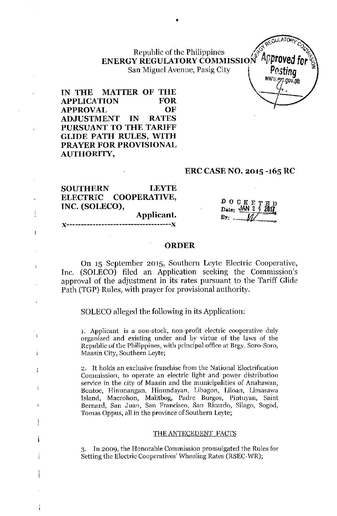Republic of the Philippines  $\sqrt{\frac{g}{\lambda}}$ ENERGY REGULATORY COMMISSION<sup>' *"*approved</sup> for  $\mathbb{S}\setminus\mathbb{S}$ Republic of the Emperies<br>G**Y REGULATORY COMMISSION<sup>T</sup> Approved**<br>San Miguel Avenue, Pasig City **Posting** 

•

~GULATQl?y *~~... Co* ~v.~,e'*.gov.ph*

IN THE MATTER OF THE APPLICATION FOR APPROVAL OF ADJUSTMENT IN RATES PURSUANT TO THE TARIFF GLIDE PATH RULES, WITH PRAYER FOR PROVISIONAL AUTHORITY,

 $\overline{1}$ 

÷

 $\mathbf{I}$ 

 $\mathbf{I}$ 

## ERC CASE NO. 2015 -165 RC

| <b>SOUTHERN</b> | <b>LEYTE</b>                                               |                                                                                    |
|-----------------|------------------------------------------------------------|------------------------------------------------------------------------------------|
|                 | ELECTRIC COOPERATIVE,                                      |                                                                                    |
| INC. (SOLECO),  |                                                            | $\frac{D\quad C K E T E D}{Date$ : $\frac{JAN}{2}$ $\frac{3}{2}$ $\frac{201}{201}$ |
|                 | Applicant.                                                 | B۳۰.                                                                               |
|                 | ${\bf Y}$ paanaanaanaanaanaanaanaanaanaanaanaana ${\bf Y}$ |                                                                                    |

#### ORDER

On 15 September 2015, Southern Leyte Electric Cooperative, Inc. (SOLECO) filed an Application seeking the Commission's approval of the adjustment in its rates pursuant to the Tariff Glide Path (TGP) Rules, with prayer for provisional authority.

SOLECO alleged the following in its Application:

1. Applicant is a non-stock, non-profit electric cooperative duly organized and existing under and by virtue of the laws of the Republic of the Philippines, with principal office at Brgy. Sora-Sora, Maasin City, Southern Leyte;

2. It holds an exclusive franchise from the National Electrification Commission, to operate an electric light and power distribution service in the city of Maasin and the municipalities of Anahawan, Bontoe, Hinunangan, Hinundayan, Libagon, Liloan, Limasawa Island, Macrohon, Malitbog, Padre Burgos, Pintuyan, Saint Bernard, San Juan, San Francisco, San Ricardo, Silago, Sogod, Tomas Oppus, all in the province of Southern Leyte;

#### THE ANTECEDENT FACTS

3. In 2009, the Honorable Commission promulgated the Rules for Setting the Electric Cooperatives' Wheeling Rates (RSEC-WR);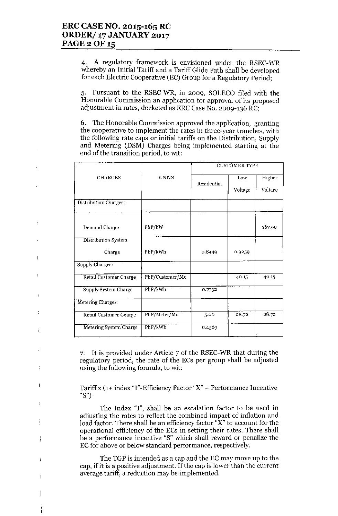j

 $\ddot{\cdot}$ 

÷

 $\overline{\phantom{a}}$ 

 $\mathbf{I}$ 

j

ł

 $\mathbf{I}$ 

4. A regulatory framework is envisioned under the RSEC-WR whereby an Initial Tariff and a Tariff Glide Path shall be developed for each Electric Cooperative (EC) Gronp for a Regulatory Period;

5. Pursuant to the RSEC-WR, in 2009, SOLECO filed with the Honorable Commission an application for approval of its proposed adjustment in rates, docketed as ERC Case No. 2009-136 RC;

6. The Honorable Commission approved the application, granting the cooperative to implement the rates in three-year tranches, with the following rate caps or initial tariffs on the Distribution, Supply and Metering (DSM) Charges being implemented starting at the end of the transition period, to wit:

|                               |                 | <b>CUSTOMER TYPE</b> |         |         |
|-------------------------------|-----------------|----------------------|---------|---------|
| <b>CHARGES</b>                | <b>UNITS</b>    | Residential          | Low     | Higher  |
|                               |                 |                      | Voltage | Voltage |
| Distribution Charges:         |                 |                      |         |         |
| Demand Charge                 | PhP/kW          |                      |         | 267.90  |
| Distribution System           |                 |                      |         |         |
| Charge                        | PhP/kWh         | 0.8449               | 0.9259  |         |
| Supply Charges:               |                 |                      |         |         |
| <b>Retail Customer Charge</b> | PhP/Customer/Mo |                      | 40.15   | 40.15   |
| Supply System Charge          | PhP/kWh         | 0.7732               |         |         |
| Metering Charges:             |                 |                      |         |         |
| <b>Retail Customer Charge</b> | PhP/Meter/Mo    | 5.00                 | 28.72   | 28.72   |
| Metering System Charge        | PhP/kWh         | 0.4569               |         |         |

7. It is provided nnder Article 7 of the RSEC-WR that during the regulatory period, the rate of the ECs per group shall be adjusted using the following formula, to wit:

Tariffx (1+ index "I"-Efficiency Factor "X" + Performance Incentive "8")

The Index "I", shall be an escalation factor to be used in adjusting the rates to reflect the combined impact of inflation and load factor. There shall be an efficiency factor "X" to account for the operational efficiency of the ECs in setting their rates. There shall be a performance incentive "8" which shall reward or penalize the EC for above or below standard performance, respectively.

The TGP is intended as a cap and the EC may move up to the cap, if it is a positive adjustment. If the cap is lower than the current average tariff, a reduction may be implemented.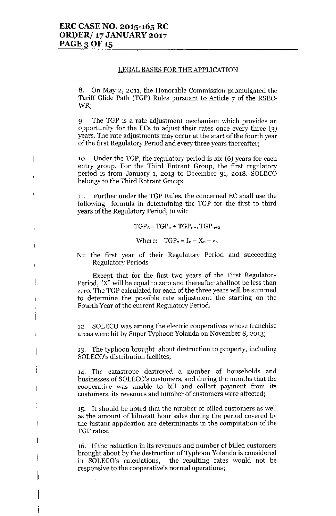$\overline{1}$ 

 $\mathbf{I}$ 

t

ł

 $\overline{1}$ 

 $\ddot{\phantom{a}}$ 

Ť

 $\overline{\phantom{a}}$ 

 $\overline{\phantom{a}}$ 

#### LEGAL BASES FOR THE APPLICATION

8. On May 2, 2011, the Honorable Commission promulgated the Tariff Glide Path (TGP) Rules pursuant to Article 7 of the RSEC-WR;

9. The TGP is a rate adjustment mechanism which provides an opportunity for the ECs to adjust their rates once every three (3) years. The rate adjustments may occur at the start of the fourth year of the first Regulatory Period and every three years thereafter;

10. Under the TGP, the regulatory period is six (6) years for each entry group. For the Third Entrant Group, the first regulatory period is from January 1, 2013 to December 31, 2018. SOLECO belongs to the Third Entrant Group;

11. Further under the TGP Rules, the concerned EC shall use the following formula in determining the TGP for the first to third years of the Regulatory Period, to wit:

 $TGP_A = TGP_n + TGP_{n+1} TGP_{n+2}$ 

Where:  $TGP_n = I_n - X_n + s_n$ 

N= the first year of their Regulatory Period and succeeding Regulatory Periods

Except that for the first two years of the First Regulatory Period, "X" will be equal to zero and thereafter shallnot be less than zero. The TGP calculated for each of the three years will be summed to determine the possible rate adjustment the starting on the Fourth Year of the current Regulatory Period.

12. SOLECO was among the electric cooperatives whose franchise areas were hit by Super Typhoon Yolanda on November 8, 2013;

13. The typhoon brought about destruction to property, including SOLECO's distribution facilites;

14. The catastrope destroyed a number of households and businesses of SOLECO's customers, and during the months that the cooperative was unable to bill and collect payment from its customers, its revenues and number of customers were affected;

15. It should be noted that the number of billed customers as well as the amount of kilowatt hour sales during the period covered by the instant application are determinants in the computation of the TGP rates;

16. If the reduction in its revenues and number of billed customers brought about by the destruction of Typhoon Yolanda is considered in SOLECO's calculations, the resulting rates would not be responsive to the cooperative's normal operations;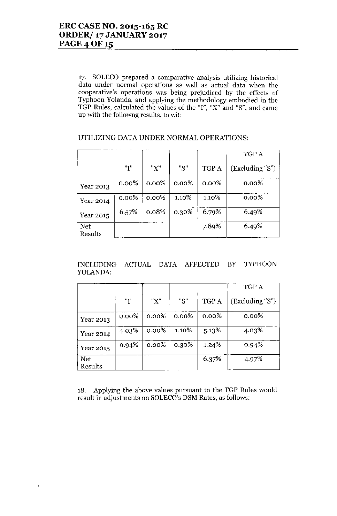17. SOLECO prepared a comparative analysis utilizing historical data under normal operations as well as actual data when the cooperative's operations was being prejudiced by the effects of Typhoon Yolanda, and applying the methodology embodied in the TGP Rules, calculated the values of the "I", "X" and "8", and came up with the followng results, to wit:

# UTILIZING DATA UNDER NORMAL OPERATIONS:

|                       |          |          |          |          | TGP A           |
|-----------------------|----------|----------|----------|----------|-----------------|
|                       | "I"      | "X"      | "S"      | TGP A    | (Excluding "S") |
| Year 2013             | $0.00\%$ | $0.00\%$ | $0.00\%$ | $0.00\%$ | $0.00\%$        |
| Year 2014             | $0.00\%$ | $0.00\%$ | 1,10%    | 1.10%    | $0.00\%$        |
| Year 2015             | 6.57%    | 0.08%    | 0.30%    | 6.79%    | 6.49%           |
| <b>Net</b><br>Results |          |          |          | 7.89%    | 6.49%           |

INCLUDING ACTUAL DATA AFFECTED BY TYPHOON YOLANDA:

|                |       |          |          |          | TGP A           |
|----------------|-------|----------|----------|----------|-----------------|
|                | "T"   | "X"      | "S"      | TGP A    | (Excluding "S") |
| Year 2013      | 0.00% | $0.00\%$ | $0.00\%$ | $0.00\%$ | $0.00\%$        |
| Year 2014      | 4.03% | $0.00\%$ | 1.10%    | 5.13%    | 4.03%           |
| Year 2015      | 0.94% | $0.00\%$ | 0.30%    | 1.24%    | $0.94\%$        |
| Net<br>Results |       |          |          | 6.37%    | 4.97%           |

18. Applying the above values pursuant to the TGP Rules would result in adjustments on SOLECO's DSM Rates, as follows: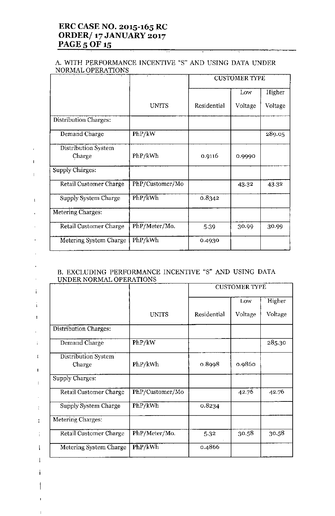# **ERC CASE NO. 2015-165 RC ORDER/ 17 JANUARY 2017 PAGE 5 OF 15**

 $\mathbf{r}$ 

 $\bar{\Gamma}$ 

 $\overline{1}$ 

 $\bar{\rm t}$ 

 $\mathbf{r}$ 

 $\mathbf{r}$ 

 $\overline{1}$ 

 $\ddot{\phantom{1}}$ 

 $\stackrel{\scriptscriptstyle{+}}{+}$ 

 $\bar{1}$ 

 $\overline{a}$ 

 $\ddot{\phantom{a}}$ 

 $\mathfrak l$ 

 $\mathbf{I}$ 

 $\overline{\phantom{a}}$ 

 $\ddot{\zeta}$ 

ł,

÷

 $\mathbf{I}$ 

 $\perp$ 

Ť

#### A. WITH PERFORMANCE INCENTIVE "S" AND USING DATA UNDER NORMAL OPERATIONS

|                               |                 | <b>CUSTOMER TYPE</b> |         |         |
|-------------------------------|-----------------|----------------------|---------|---------|
|                               |                 |                      | Low     | Higher  |
|                               | <b>UNITS</b>    | Residential          | Voltage | Voltage |
| Distribution Charges:         |                 |                      |         |         |
| Demand Charge                 | PhP/kW          |                      |         | 289.05  |
| Distribution System<br>Charge | PhP/kWh         | 0.9116               | 0.9990  |         |
| Supply Charges:               |                 |                      |         |         |
| <b>Retail Customer Charge</b> | PhP/Customer/Mo |                      | 43.32   | 43.32   |
| Supply System Charge          | PhP/kWh         | 0.8342               |         |         |
| Metering Charges:             |                 |                      |         |         |
| Retail Customer Charge        | PhP/Meter/Mo.   | 5-39                 | 30.99   | 30.99   |
| Metering System Charge        | PhP/kWh         | 0.4930               |         |         |

# B. EXCLUDING PERFORMANCE INCENTIVE "S" AND USING DATA UNDER NORMAL OPERATIONS

|                               |                 | <b>CUSTOMER TYPE</b> |         |         |
|-------------------------------|-----------------|----------------------|---------|---------|
|                               |                 |                      | Low     | Higher  |
|                               | <b>UNITS</b>    | Residential          | Voltage | Voltage |
| Distribution Charges:         |                 |                      |         |         |
| Demand Charge                 | PhP/kW          |                      |         | 285.30  |
| Distribution System<br>Charge | PhP/kWh         | 0.8998               | 0.9860  |         |
| Supply Charges:               |                 |                      |         |         |
| Retail Customer Charge        | PhP/Customer/Mo |                      | 42.76   | 42.76   |
| Supply System Charge          | PhP/kWh         | 0.8234               |         |         |
| Metering Charges:             |                 |                      |         |         |
| Retail Customer Charge        | PhP/Meter/Mo.   | 5.32                 | 30.58   | 30.58   |
| Metering System Charge        | PhP/kWh         | 0.4866               |         |         |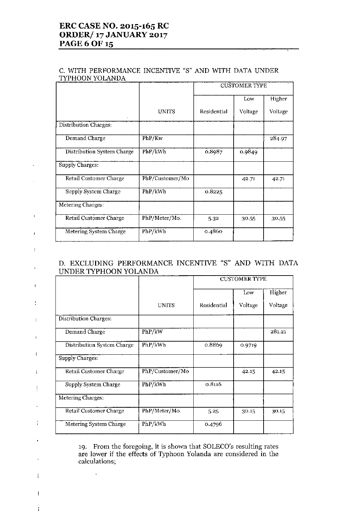# ERC CASE NO. 2015-165 RC ORDER/ 17 JANUARY 2017 PAGE 6 OF 15

 $\bar{\Gamma}$ 

 $\mathbf I$ 

 $\mathbf{I}$ 

 $\mathbf{r}$ 

 $\bar{1}$ 

t

 $\mathfrak{f}$ 

 $\mathbf{I}$ 

 $\mathbf{I}$ 

÷,

 $\mathsf{L}$ 

 $\frac{1}{\Gamma}$ 

 $\mathbf{I}$ 

 $\overline{1}$ 

j.

 $\overline{\phantom{a}}$ 

f,

 $\overline{\phantom{a}}$ 

#### C. WITH PERFORMANCE INCENTIVE "8" AND WITH DATA UNDER TYPHOON YOLANDA

|                            |                 | <b>CUSTOMER TYPE</b> |         |         |
|----------------------------|-----------------|----------------------|---------|---------|
|                            |                 |                      | Low     | Higher  |
|                            | <b>UNITS</b>    | Residential          | Voltage | Voltage |
| Distribution Charges:      |                 |                      |         |         |
| Demand Charge              | PhP/Kw          |                      |         | 284.97  |
| Distribution System Charge | PhP/kWh         | 0.8987               | 0.9849  |         |
| Supply Charges:            |                 |                      |         |         |
| Retail Customer Charge     | PhP/Customer/Mo |                      | 42.71   | 42.71   |
| Supply System Charge       | PhP/kWh         | 0.8225               |         |         |
| Metering Charges:          |                 |                      |         |         |
| Retail Customer Charge     | PhP/Meter/Mo.   | 5.32                 | 30.55   | 30.55   |
| Metering System Charge     | PhP/kWh         | 0.4860               |         |         |

# D. EXCLUDING PERFORMANCE INCENTNE "8" AND WITH DATA UNDER TYPHOON YOLANDA

|                            |                 | <b>CUSTOMER TYPE</b> |         |         |
|----------------------------|-----------------|----------------------|---------|---------|
|                            |                 |                      | Low     | Higher  |
|                            | <b>UNITS</b>    | Residential          | Voltage | Voltage |
| Distribution Charges:      |                 |                      |         |         |
| Demand Charge              | PhP/kW          |                      |         | 281.21  |
| Distribution System Charge | PhP/kWh         | 0.8869               | 0.9719  |         |
| Supply Charges:            |                 |                      |         |         |
| Retail Customer Charge     | PhP/Customer/Mo |                      | 42.15   | 42.15   |
| Supply System Charge       | PhP/kWh         | 0.8116               |         |         |
| Metering Charges:          |                 |                      |         |         |
| Retail Customer Charge     | PhP/Meter/Mo.   | 5.25                 | 30.15   | 30.15   |
| Metering System Charge     | PhP/kWh         | 0.4796               |         |         |

19. From the foregoing, it is shown that SOLECO's resulting rates are lower if the effects of Typhoon Yolanda are considered **in** the calculations;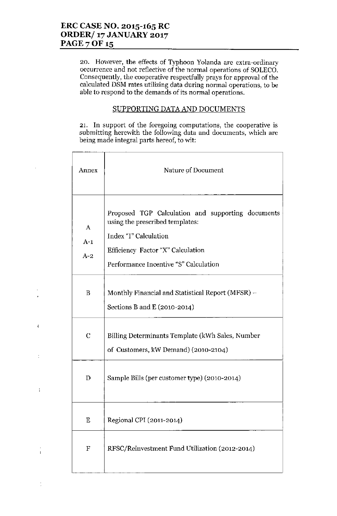J

f,

 $\overline{1}$ 

 $\overline{\phantom{a}}$ 

**20. However, the effects of Typhoon Yolanda are extra-ordinary occurrence and not reflective of the normal operations of SOLECO. Consequently, the cooperative respectfully prays for approval of the calculated DSM rates utilizing data during normal operations, to be able to respond to the demands of its normal operations.**

## SUPPORTING DATA AND DOCUMENTS

**21. In support of the foregoing computations, the cooperative is submitting herewith the following data and documents, which are**  $\phi$  being made integral parts hereof, to wit:

| Annex                              | Nature of Document                                                                                                                                                                          |  |  |  |  |  |  |
|------------------------------------|---------------------------------------------------------------------------------------------------------------------------------------------------------------------------------------------|--|--|--|--|--|--|
| $\boldsymbol{A}$<br>$A-1$<br>$A-2$ | Proposed TGP Calculation and supporting documents<br>using the prescribed templates:<br>Index "I" Calculation<br>Efficiency Factor "X" Calculation<br>Performance Incentive "S" Calculation |  |  |  |  |  |  |
| B                                  | Monthly Financial and Statistical Report (MFSR) –<br>Sections B and E (2010-2014)                                                                                                           |  |  |  |  |  |  |
| $\mathbf C$                        | Billing Determinants Template (kWh Sales, Number<br>of Customers, kW Demand) (2010-2104)                                                                                                    |  |  |  |  |  |  |
| D                                  | Sample Bills (per customer type) (2010-2014)                                                                                                                                                |  |  |  |  |  |  |
| Ε                                  | Regional CPI (2011-2014)                                                                                                                                                                    |  |  |  |  |  |  |
| $\mathbf F$                        | RFSC/Reinvestment Fund Utilization (2012-2014)                                                                                                                                              |  |  |  |  |  |  |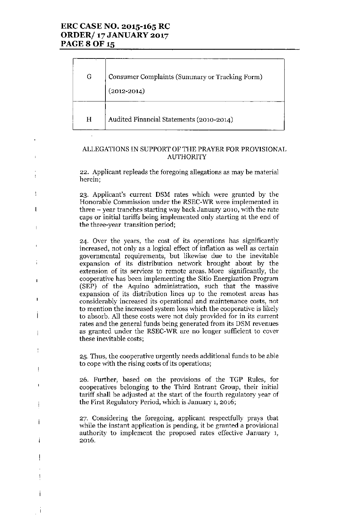# ERC CASE NO. 2015-165 RC ORDER/ 17 JANUARY 2017 PAGE 8 OF 15

 $\frac{1}{2}$ 

 $\overline{1}$ 

 $\frac{1}{2}$ 

 $\mathbf{I}$ 

 $\mathbf{r}$ 

 $\overline{1}$ 

 $\overline{\phantom{a}}$ 

ţ

 $\overline{\phantom{a}}$ 

 $\mathbf{I}$ 

Ť

| G | Consumer Complaints (Summary or Tracking Form)<br>$(2012 - 2014)$ |
|---|-------------------------------------------------------------------|
| H | Audited Financial Statements (2010-2014)                          |

## ALLEGATIONS IN SUPPORT OF THE PRAYER FOR PROVISIONAL AUTHORITY

22. Applicant repleads the foregoing allegations as may be material herein;

23. Applicant's current DSM rates which were granted by the Honorable Commission under the RSEC-WR were implemented in three  $-$  year tranches starting way back January 2010, with the rate caps or initial tariffs being implemented only starting at the end of the three-year transition period;

24. Over the years, the cost of its operations has significantly increased, not only as a logical effect of inflation as well as certain governmental requirements, but likewise due to the inevitable expansion of its distribution network brought about by the extension of its services to remote areas. More significantly, the cooperative has been implementing the Sitio Energization Program (SEP) of the Aquino administration, such that the massive expansion of its distribution lines up to the remotest areas has considerably increased its operational and maintenance costs, not to mention the increased system loss which the cooperative is likely to absorb. All these costs were not duly provided for in its current rates and the general funds being generated from its DSM revenues as granted under the RSEC-WR are no longer sufficient to cover these inevitable costs;

25. Thus, the cooperative urgently needs additional funds to be able to cope with the rising costs of its operations;

26, Further, based on the provisions of the TGP Rules, for cooperatives belonging to the Third Entrant Group, their initial tariff shall be adjusted at the start of the fourth regulatory year of the First Regulatory Period, which is January 1, 2016;

27. Considering the foregoing, applicant respectfully prays that while the instant application is pending, it be granted a provisional authority to implement the proposed rates effective January 1, 2016.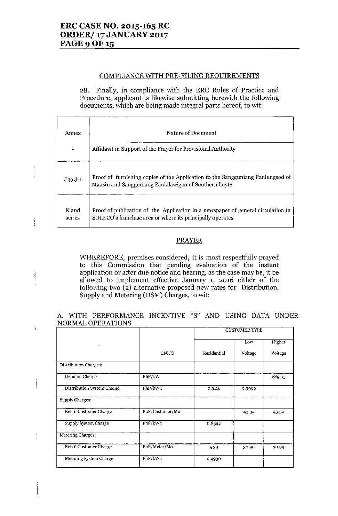# ERC CASE NO. 2015-165 RC ORDER/ 17 JANUARY 2017 **PAGE 9 OF 15**

 $\frac{1}{2}$ 

Ť

 $\dagger$ 

 $\ddot{\cdot}$ 

 $\mathbf{I}$ 

#### COMPLIANCE WITH PRE-FILING REQUIREMENTS

28. Finally, in compliance with the ERC Rules of Practice and Procedure, applicant is likewise submitting herewith the following documents, which are being made integral parts hereof, to wit:

| Annex           | Nature of Document                                                                                                                            |
|-----------------|-----------------------------------------------------------------------------------------------------------------------------------------------|
| I               | Affidavit in Support of the Prayer for Provisional Authority                                                                                  |
| $J$ to $J-1$    | Proof of furnishing copies of the Application to the Sangguniang Panlungsod of<br>Maasin and Sangguniang Panlalawigan of Southern Leyte       |
| K and<br>series | Proof of publication of the Application in a newspaper of general circulation in<br>SOLECO's franchise area or where its principally operates |

#### PRAYER

WHEREFORE, premises considered, it is most respectfully prayed to this Commission that pending evaluation of the instant application or after due notice and hearing, as the case may be, it be allowed to implement effective January **1,** 2016 either of the following two (2) alternative proposed new rates for Distribution, Supply and Metering (DSM) Charges, to wit:

#### A. WITH PERFORMANCE INCENTIVE "S" AND USING DATA UNDER NORMAL OPERATIONS

|                            |                 | <b>CUSTOMER TYPE</b> |         |         |
|----------------------------|-----------------|----------------------|---------|---------|
|                            |                 |                      | Low     | Higher  |
|                            | <b>UNITS</b>    | Residential          | Voltage | Voltage |
| Distribution Charges:      |                 |                      |         |         |
| Demand Charge              | PhP/kW          |                      |         | 289.05  |
| Distribution System Charge | PhP/kWh         | 0.9116               | 0.9990  |         |
| Supply Charges:            |                 |                      |         |         |
| Retail Customer Charge     | PhP/Customer/Mo |                      | 43.32   | 43.32   |
| Supply System Charge       | PhP/kWh         | 0.8342               |         |         |
| Metering Charges:          |                 |                      |         |         |
| Retail Customer Charge     | PhP/Meter/Mo.   | 5.39                 | 30.99   | 30.99   |
| Metering System Charge     | PhP/kWh         | 0.4930               |         |         |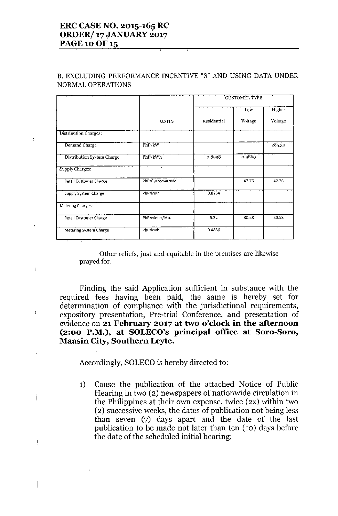# ERC CASE NO. 2015-165 RC ORDER/ 17 JANUARY 2017 PAGE 10 OF 15

 $\mathfrak{t}$ 

ţ

Ť

 $\overline{\phantom{a}}$ 

 $\overline{\phantom{a}}$ 

# 13.EXCLUDING PERFORMANCE INCENTIVE "S" AND USING DATA UNDER NORMAL OPERATIONS

|                               |                 | <b>CUSTOMER TYPE</b> |         |         |
|-------------------------------|-----------------|----------------------|---------|---------|
|                               |                 |                      | Low     | Higher  |
|                               | <b>UNITS</b>    | Residential          | Voltage | Voltage |
| Distribution Charges:         |                 |                      |         |         |
| Demand Charge                 | PhP/kW          |                      |         | 285.30  |
| Distribution System Charge    | PhP/kWh         | 0.8998               | 0.9860  |         |
| Supply Charges:               | $\mathbf{I}$    |                      |         |         |
| <b>Retail Customer Charge</b> | PhP/Customer/Mo |                      | 42.76   | 42.76   |
| Supply System Charge          | PhP/kWh         | 0.8234               |         |         |
| <b>Metering Charges:</b>      |                 |                      |         |         |
| <b>Retail Customer Charge</b> | PhP/Meter/Mo.   | 5.32                 | 30.58   | 30.58   |
| Metering System Charge        | PhP/kWh         | 0.4866               |         |         |

Other reliefs, just and equitable in the premises are likewise prayed for.

Finding the said Application sufficient in substance with the required fees having been paid, the same is hereby set for determination of compliance with the jurisdictional requirements, expository presentation, Pre-trial Conference, and presentation of evidence on 21 February 2017 at two o'clock in the afternoon (2:00 P.M.), at SOLECO's principal office at Sora-Sora, Maasin City, Southern Leyte.

Accordingly, SOLECO is hereby directed to:

1) Cause the publication of the attached Notice of Public Hearing in two (2) newspapers of nationwide circulation in the Philippines at their own expense, twice (2X) within two (2) successive weeks, the dates of publication not being less than seven (7) days apart and the date of the last publication to be made not later than ten (10) days before the date of the scheduled initial hearing;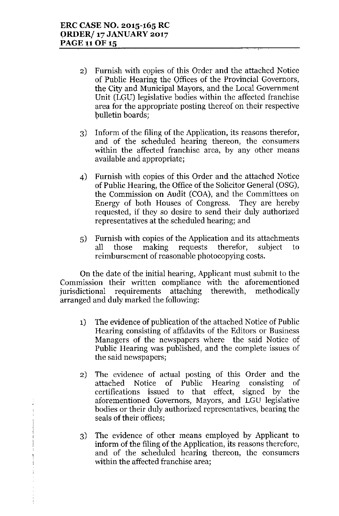- 2) Furnish with copies of this Order and the attached Notice of Public Hearing the Offices of the Provincial Governors, the City and Municipal Mayors, and the Local Government Unit (LGU) legislative bodies within the affected franchise area for the appropriate posting thereof on their respective bulletin boards;
- 3) Inform of the filing of the Application, its reasons therefor, and of the scheduled hearing thereon, the consumers within the affected franchise area, by any other means available and appropriate;
- 4) Furnish with copies of this Order and the attached Notice of Public Hearing, the Office of the Solicitor General (OSG), the Commission on Audit (COA), and the Committees on Energy of both Houses of Congress. They are hereby requested, if they so desire to send their duly authorized representatives at the scheduled hearing; and
- 5) Furnish with copies of the Application and its attachments all those making requests therefor, subject to reimbursement of reasonable photocopying costs.

On the date of the initial hearing, Applicant must submit to the Commission their written compliance with the aforementioned jurisdictional requirements attaching therewith, methodically arranged and duly marked the following:

- 1) The evidence of publication of the attached Notice of Public Hearing consisting of affidavits of the Editors or Business Managers of the newspapers where the said Notice of Public Hearing was published, and the complete issues of the said newspapers;
- 2) The evidence of actual posting of this Order and the attached Notice of Public Hearing conslstmg of certifications issued to that effect, signed by the aforementioned Governors, Mayors, and LGU legislative bodies or their duly authorized representatives, bearing the seals of their offices;
- 3) The evidence of other means employed by Applicant to inform of the filing of the Application, its reasons therefore, and of the scheduled hearing thereon, the consumers within the affected franchise area;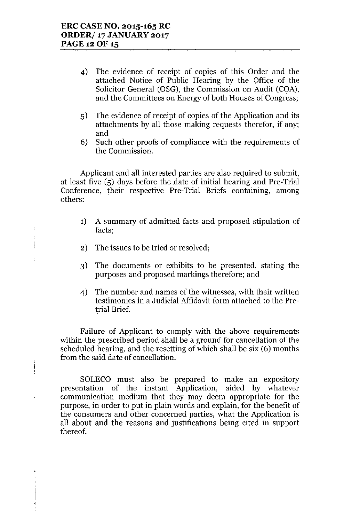- 4) The evidence of receipt of copies of this Order and the attached Notice of Public Hearing by the Office of the Solicitor General (OSG), the Commission on Audit (COA), and the Committees on Energy of both Houses of Congress;
- 5) The evidence of receipt of copies of the Application and its attachments by all those making requests therefor, if any; and
- 6) Such other proofs of compliance with the requirements of the Commission.

Applicant and all interested parties are also required to submit, at least five (5) days before the date of initial hearing and Pre-Trial Conference, their respective Pre-Trial Briefs containing, among others:

- 1) A summary of admitted facts and proposed stipulation of facts;
- 2) The issues to be tried or resolved;

 $\overline{1}$  $\mathbf{I}$  $\ddagger$ 

t

 $\frac{1}{2}$ 

- 3) The documents or exhibits to be presented, stating the purposes and proposed markings therefore; and
- 4) The number and names of the witnesses, with their written testimonies in a Judicial Affidavit form attached to the Pretrial Brief.

Failure of Applicant to comply with the above requirements within the prescribed period shall be a ground for cancellation of the scheduled hearing, and the resetting of which shall be six (6) months from the said date of cancellation.

SOLECO must also be prepared to make an expository presentation of the instant Application, aided by whatever communication medium that they may deem appropriate for the purpose, in order to put in plain words and explain, for the benefit of the consumers and other concerned parties, what the Application is all about and the reasons and justifications being cited in support thereof.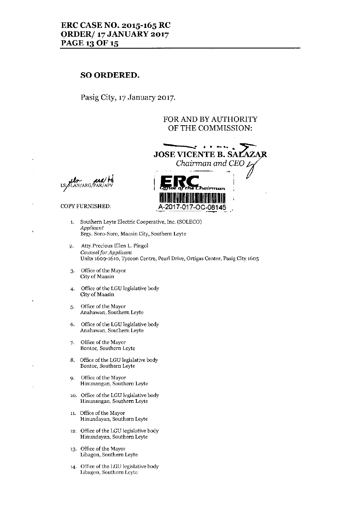## ERC CASE NO. 2015-165 RC ORDER/ 17 JANUARY 2017 PAGE 13 OF 15

# SO ORDERED.

Pasig City, 17 January 2017.

## FORAND BYAUTHORITY OF THE COMMISSION:



**JU<sub>D</sub>**<br>SLAN/ARG/PAR

- 1. Southern Leyte Electric Cooperative, Inc. (SOLECO) *Applicant* Brgy. Sora-Som, Maasin City, Southern Leyte
- f-. Atty.Prccious Ellen L. Pingol *Counsel/or Applicant* Units 1609-1610, Tycoon Centre, Pearl Drive, Ortigas Center, Pasig City 1605
- 3. Office of the Mayor City of Maasin
- 4. Office of the LGU legislative body City of Maasin
- 5. Office of the Mayor Anahawan, Southern Leytc
- 6. Office of the LGU legislative body Anahawan, Southern Leyte
- 7. Office of the Mayor Bontoe, Southern Lcytc
- 8. Office of the LGU legislative body Bontoe, Southern Leytc
- 9. Office of the Mayor Hinunangan, Southern Leyte
- 10. Office of the LGU legislative body Hinunangan, Southern Leyte
- 11 Office of the Mayor Hinundayan, Southern Leyte
- 12. Office of the LGU legislative body Hinundayan, Southern Leyte
- 13. Office of the Mayor Libagon, Southern Leyte
- 14. Office of the LGU legislative body Libagon, Southern Lcyte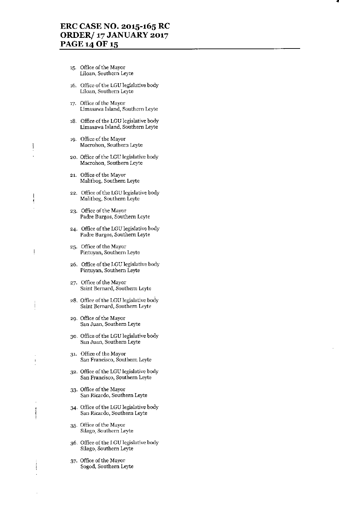••

- 15. Office of the Mayor Liloan, Southern Leyte
- 16. Office of the LGU legislative body Liloan, Southern Lcytc
- 17. Office of the Mayor Limasawa Island, Southern Leyte
- 18. Office of the LGU legislative body Limasawa Island, Southern Leyte
- 19. Office of the Mayor Macrohon, Southern Leytc
- 20. Office of the LGU legislative body Macrohon, Southern Leyte
- 21. Office of the Mayor Malitbog, Southern Leyte

 $\frac{1}{2}$ 

ľ

- 22. Office of the LGU legislative body Malitbog, Southern Leyte
- 23. Office of the Mayor Padre Burgos, Southern Lcyte
- 24. Office of the LGU legislative body Padre Burgos, Southern Leyte
- 25. Office of the Mayor Pintuyan, Southern Leyte
- 26. Office of the LGU legislative body Pintuyan, Southern Leyte
- 27. Office of the Mayor Saint Bernard, Southern Lcytc
- 28. Office of the LGU legislative body Saint Bernard, Southern Leyte
- 29. Office of the Mayor San Juan, Southern Leyte
- 30. Office of the LGU legislative body San Juan, Southern Leyte
- 31. Offiee of the Mayor San Francisco, Southern Leyte
- 32. Office of the LGU legislative body San Francisco, Southern Leyte
- 33. Office of the Mayor San Ricardo, Southern Leyte
- 34. Office of the LGU legislative body San Ricardo, Southern Leyte
- 35. Office of the Mayor Silago, Southern Leyte
- 36. Office of the I.GU legislative body Silago, Southern Leyte
- 37. Office of the Mayor Sogod, Southern Leyte